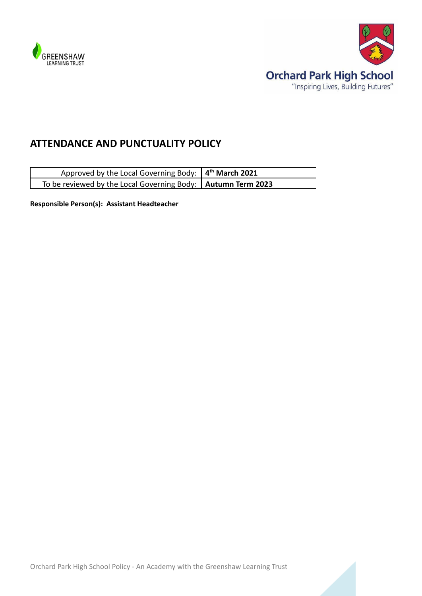

F



# **ATTENDANCE AND PUNCTUALITY POLICY**

| Approved by the Local Governing Body: $4th$ March 2021         |  |
|----------------------------------------------------------------|--|
| To be reviewed by the Local Governing Body:   Autumn Term 2023 |  |

**Responsible Person(s): Assistant Headteacher**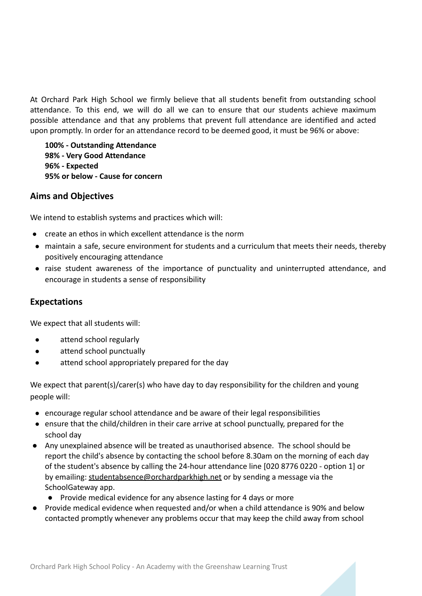At Orchard Park High School we firmly believe that all students benefit from outstanding school attendance. To this end, we will do all we can to ensure that our students achieve maximum possible attendance and that any problems that prevent full attendance are identified and acted upon promptly. In order for an attendance record to be deemed good, it must be 96% or above:

**100% - Outstanding Attendance 98% - Very Good Attendance 96% - Expected 95% or below - Cause for concern**

## **Aims and Objectives**

We intend to establish systems and practices which will:

- create an ethos in which excellent attendance is the norm
- maintain a safe, secure environment for students and a curriculum that meets their needs, thereby positively encouraging attendance
- raise student awareness of the importance of punctuality and uninterrupted attendance, and encourage in students a sense of responsibility

# **Expectations**

We expect that all students will:

- attend school regularly
- attend school punctually
- attend school appropriately prepared for the day

We expect that parent(s)/carer(s) who have day to day responsibility for the children and young people will:

- encourage regular school attendance and be aware of their legal responsibilities
- ensure that the child/children in their care arrive at school punctually, prepared for the school day
- Any unexplained absence will be treated as unauthorised absence. The school should be report the child's absence by contacting the school before 8.30am on the morning of each day of the student's absence by calling the 24-hour attendance line [020 8776 0220 - option 1] or by emailing: [studentabsence@orchardparkhigh.net](mailto:studentabsence@orchardparkhigh.net) or by sending a message via the SchoolGateway app.
	- Provide medical evidence for any absence lasting for 4 days or more
- Provide medical evidence when requested and/or when a child attendance is 90% and below contacted promptly whenever any problems occur that may keep the child away from school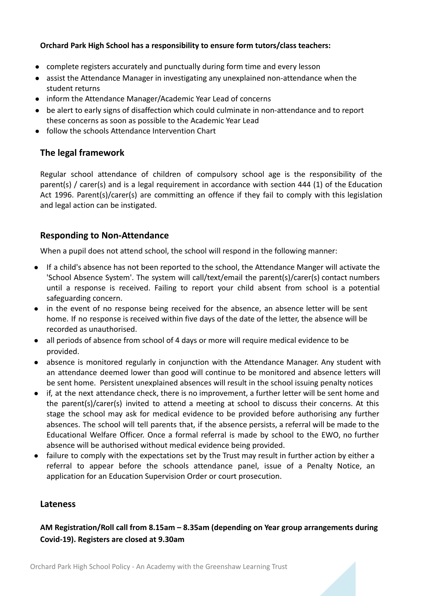#### **Orchard Park High School has a responsibility to ensure form tutors/class teachers:**

- complete registers accurately and punctually during form time and every lesson
- assist the Attendance Manager in investigating any unexplained non-attendance when the student returns
- inform the Attendance Manager/Academic Year Lead of concerns
- be alert to early signs of disaffection which could culminate in non-attendance and to report these concerns as soon as possible to the Academic Year Lead
- follow the schools Attendance Intervention Chart

# **The legal framework**

Regular school attendance of children of compulsory school age is the responsibility of the parent(s) / carer(s) and is a legal requirement in accordance with section 444 (1) of the Education Act 1996. Parent(s)/carer(s) are committing an offence if they fail to comply with this legislation and legal action can be instigated.

# **Responding to Non-Attendance**

When a pupil does not attend school, the school will respond in the following manner:

- If a child's absence has not been reported to the school, the Attendance Manger will activate the 'School Absence System'. The system will call/text/email the parent(s)/carer(s) contact numbers until a response is received. Failing to report your child absent from school is a potential safeguarding concern.
- in the event of no response being received for the absence, an absence letter will be sent home. If no response is received within five days of the date of the letter, the absence will be recorded as unauthorised.
- all periods of absence from school of 4 days or more will require medical evidence to be provided.
- absence is monitored regularly in conjunction with the Attendance Manager. Any student with an attendance deemed lower than good will continue to be monitored and absence letters will be sent home. Persistent unexplained absences will result in the school issuing penalty notices
- if, at the next attendance check, there is no improvement, a further letter will be sent home and the parent(s)/carer(s) invited to attend a meeting at school to discuss their concerns. At this stage the school may ask for medical evidence to be provided before authorising any further absences. The school will tell parents that, if the absence persists, a referral will be made to the Educational Welfare Officer. Once a formal referral is made by school to the EWO, no further absence will be authorised without medical evidence being provided.
- failure to comply with the expectations set by the Trust may result in further action by either a referral to appear before the schools attendance panel, issue of a Penalty Notice, an application for an Education Supervision Order or court prosecution.

## **Lateness**

# **AM Registration/Roll call from 8.15am – 8.35am (depending on Year group arrangements during Covid-19). Registers are closed at 9.30am**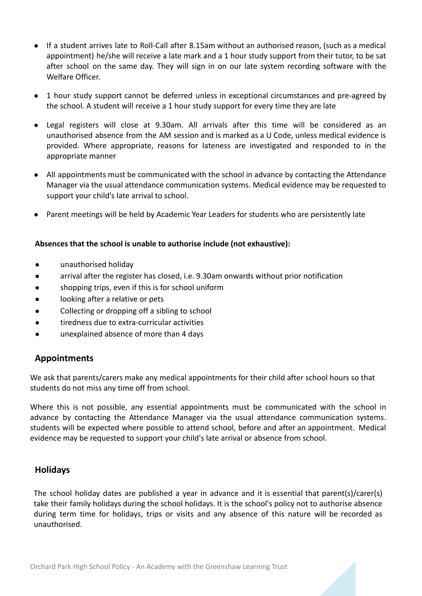- If a student arrives late to Roll-Call after 8.15am without an authorised reason, (such as a medical appointment) he/she will receive a late mark and a 1 hour study support from their tutor, to be sat after school on the same day. They will sign in on our late system recording software with the Welfare Officer.
- 1 hour study support cannot be deferred unless in exceptional circumstances and pre-agreed by the school. A student will receive a 1 hour study support for every time they are late
- Legal registers will close at 9.30am. All arrivals after this time will be considered as an unauthorised absence from the AM session and is marked as a U Code, unless medical evidence is provided. Where appropriate, reasons for lateness are investigated and responded to in the appropriate manner
- All appointments must be communicated with the school in advance by contacting the Attendance Manager via the usual attendance communication systems. Medical evidence may be requested to support your child's late arrival to school.
- Parent meetings will be held by Academic Year Leaders for students who are persistently late

#### **Absences that the school is unable to authorise include (not exhaustive):**

- unauthorised holiday
- arrival after the register has closed, i.e. 9.30am onwards without prior notification
- shopping trips, even if this is for school uniform
- looking after a relative or pets
- Collecting or dropping off a sibling to school
- tiredness due to extra-curricular activities
- unexplained absence of more than 4 days

## **Appointments**

We ask that parents/carers make any medical appointments for their child after school hours so that students do not miss any time off from school.

Where this is not possible, any essential appointments must be communicated with the school in advance by contacting the Attendance Manager via the usual attendance communication systems. students will be expected where possible to attend school, before and after an appointment. Medical evidence may be requested to support your child's late arrival or absence from school.

#### **Holidays**

The school holiday dates are published a year in advance and it is essential that parent(s)/carer(s) take their family holidays during the school holidays. It is the school's policy not to authorise absence during term time for holidays, trips or visits and any absence of this nature will be recorded as unauthorised.